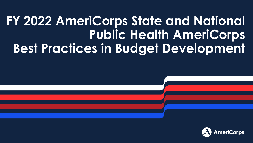#### **FY 2022 AmeriCorps State and National Public Health AmeriCorps Best Practices in Budget Development**

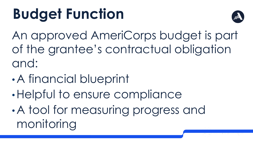# **Budget Function**



An approved AmeriCorps budget is part of the grantee's contractual obligation and:

- •A financial blueprint
- •Helpful to ensure compliance
- •A tool for measuring progress and monitoring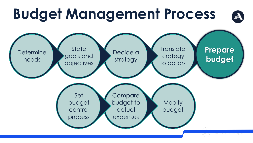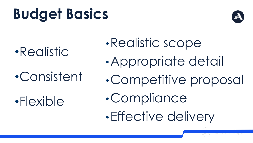# **Budget Basics**



•Realistic

•Consistent

•Flexible

- •Realistic scope
- •Appropriate detail
- •Competitive proposal
- •Compliance
- •Effective delivery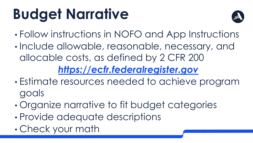# **Budget Narrative**



- Follow instructions in NOFO and App Instructions
- Include allowable, reasonable, necessary, and allocable costs, as defined by 2 CFR 200 *[https://ecfr.federalregister.gov](https://ecfr.federalregister.gov/)*
- Estimate resources needed to achieve program goals
- Organize narrative to fit budget categories
- Provide adequate descriptions
- 5 Check your math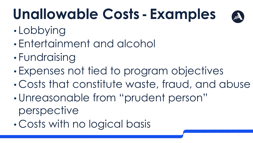# **Unallowable Costs - Examples**



- Lobbying
- Entertainment and alcohol
- Fundraising
- Expenses not tied to program objectives
- Costs that constitute waste, fraud, and abuse
- Unreasonable from "prudent person" perspective
- Costs with no logical basis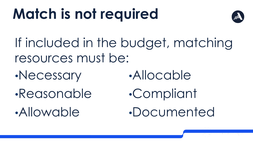# **Match is not required**



If included in the budget, matching resources must be:

•Necessary

•Allowable

•Reasonable

- •Allocable
- •Compliant
- •Documented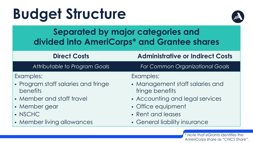# **Budget Structure**



#### **Separated by major categories and divided into AmeriCorps\* and Grantee shares**

**Direct Costs Administrative or Indirect Costs**

*Attributable to Program Goals For Common Organizational Goals*

Examples:

- Program staff salaries and fringe benefits
- Member and staff travel
- **Member gear**
- NSCHC
- **Member living allowances**

Examples:

- Management staff salaries and fringe benefits
- Accounting and legal services
- Office equipment
- Rent and leases
- General liability insurance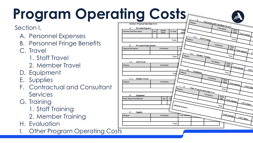# **Program Operating Costs**

#### Section I.

- A. Personnel Expenses
- B. Personnel Fringe Benefits
- C. Travel
	- 1. Staff Travel
	- 2. Member Travel
- D. Equipment
- E. Supplies
- F. Contractual and Consultant Services
- G. Training
	- 1. Staff Training
	- 2. Member Training
- H. Evaluation
- I. Other Program Operating Costs

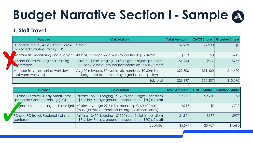### **Budget Narrative Section I - Sample**

#### **1. Staff Travel**

| <b>Purpose</b>                                                                | <b>Calculation</b>                                                                                                           | <b>Total Amount</b> | <b>CNCS Share</b> | <b>Grantee Share</b> |
|-------------------------------------------------------------------------------|------------------------------------------------------------------------------------------------------------------------------|---------------------|-------------------|----------------------|
| <b>ED and PD travel, 4-day AmeriCorps-</b><br>sponsored Grantee Training (DC) | 2 staff                                                                                                                      | \$2,930             | \$2,930           | \$0                  |
|                                                                               | rogram site monitoring and oversight   40 trips, average 29.7 miles round trip @ \$0.60/mile                                 | \$713               | \$0               | \$713                |
| PD and PC travel, Regional training<br><b>N</b> inference                     | (airfare - \$498; Lodging - \$132/night, 2 nights; per diem  <br>- \$71/day, 3 days; ground transportation - \$50) x 2 staff | \$1,954             | \$977             | \$977                |
| Member Travel as part of workday<br>(between worksites)                       | Avg 20 mi/week, 50 weeks, 38 members, \$0.60/mile<br>(mileage rate determined by organizational policy)                      | \$22,800            | \$11,400          | \$11,400             |
|                                                                               | Subtotal                                                                                                                     | \$28,397            | \$15,307          | \$13,090             |

|            | <b>Purpose</b>                                                                | <b>Calculation</b>                                                                                                             | <b>Total Amount</b> | <b>CNCS Share</b> | <b>Grantee Share</b> |
|------------|-------------------------------------------------------------------------------|--------------------------------------------------------------------------------------------------------------------------------|---------------------|-------------------|----------------------|
|            | <b>ED and PD travel, 4-day AmeriCorps-</b><br>sponsored Grantee Training (DC) | (airfare - \$600; Lodging - \$177/night, 3 nights; per diem  <br>- \$71/day, 4 days; ground transportation - \$50) x 2 staff   | \$2,930             | \$2,930           | \$0                  |
| P'         | gram site monitoring and oversight                                            | 40 trips, average 29.7 miles round trip @ \$0.60/mile<br>(mileage rate determined by organizational policy)                    | \$713               | \$0               | \$713                |
| conference | PD and PC travel, Regional training                                           | (airfare - \$450; Lodging - \$132/night, 2 nights; per diem  <br>$-$ \$71/day, 3 days; ground transportation - \$50) x 2 staff | \$1,954             | \$977             | \$977                |
|            |                                                                               | Subtotal                                                                                                                       | \$5,597             | \$3,907           | \$1,690              |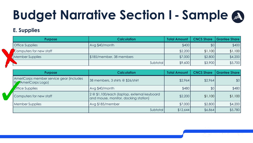### **Budget Narrative Section I - Sample**

#### **E. Supplies**

| <b>Purpose</b>          |                          | <b>Calculation</b> | <b>Total Amount</b> | <b>CNCS Share</b> | <b>Grantee Share</b> |
|-------------------------|--------------------------|--------------------|---------------------|-------------------|----------------------|
| <b>Office Supplies</b>  | Avg \$40/month           |                    | \$400               | \$0               | \$400                |
| Computers for new staff |                          |                    | \$2,200             | \$1,100           | \$1,100              |
| <b>Member Supplies</b>  | \$185/member, 38 members |                    | \$7,000             | \$2,800           | \$4,200              |
|                         |                          | Subtotal           | \$9,600             | \$3,900           | \$5,700              |

| <b>Purpose</b>                                                   | <b>Calculation</b>                                                                  | <b>Total Amount</b> | <b>CNCS Share</b> | <b>Grantee Share</b> |
|------------------------------------------------------------------|-------------------------------------------------------------------------------------|---------------------|-------------------|----------------------|
| AmeriCorps member service gear (includes<br>the AmeriCorps Logo) | 38 members, 3 shirts @ \$26/shirt                                                   | \$2,964             | \$2,964           | \$0                  |
| <b><i>Office Supplies</i></b>                                    | Avg \$40/month                                                                      | \$480               | \$0 <sub>1</sub>  | \$480                |
| Computers for new staff                                          | 2 @ \$1,100/each (laptop, external keyboard<br>and mouse, monitor, docking station) | \$2,200             | \$1,100           | \$1,100              |
| <b>Member Supplies</b>                                           | Avg \$185/member                                                                    | \$7,000             | \$2,800           | \$4,200              |
|                                                                  | Subtotal                                                                            | \$12,644            | \$6,864           | \$5,780              |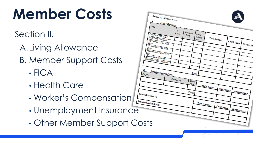# **Member Costs**

Section II.

A.Living Allowance

B. Member Support Costs

- FICA
- Health Care
- Worker's Compensation
- Unemployment Insurance
- Other Member Support Costs

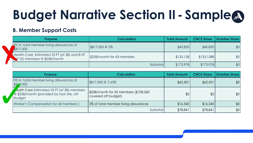### **Budget Narrative Section II - Sample**

#### **B. Member Support Costs**

| <b>Purpose</b>                                                                      | <b>Calculation</b>         | <b>Total Amount</b> | <b>CNCS Share</b> | <b>Grantee Share</b> |
|-------------------------------------------------------------------------------------|----------------------------|---------------------|-------------------|----------------------|
| <b>LEICA:</b> total member living allowances of<br>\$817,000                        | \$817,000 @ 5%             | \$40,850            | \$40,850          | \$0                  |
| Health Care: Estimated 35 FT (of 38) and 8 HT<br>$\sim$ f 10) members @ \$258/month | \$258/month for 43 members | \$133,128           | \$133,1288        | \$0                  |
|                                                                                     | Subtotal                   | \$173,978           | \$173,978         | \$0                  |

| <b>Purpose</b>                                                                                              | <b>Calculation</b>                                           | <b>Total Amount</b> | <b>CNCS Share</b> | <b>Grantee Share</b> |
|-------------------------------------------------------------------------------------------------------------|--------------------------------------------------------------|---------------------|-------------------|----------------------|
| FICA: total member living allowances of<br>\$817,000                                                        | \$817,000 @ 7.65%                                            | \$62,501            | \$62,501          | \$0                  |
| <b>Cold to Care Estimated 35 FT (of 38) members</b><br>@ \$258/month (provided by host site, off-<br>budget | \$258/month for 35 members (\$108,360<br>covered off budget) | \$0                 | \$0               | \$0                  |
| Worker's Compensation for all members)                                                                      | 2% of total member living allowances                         | \$16,340            | \$16,340          | \$0                  |
|                                                                                                             | Subtotall                                                    | \$78,841            | \$78,841          | \$0                  |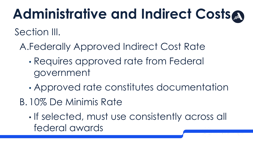## **Administrative and Indirect Costs**

Section III.

- A.Federally Approved Indirect Cost Rate
	- Requires approved rate from Federal government
	- Approved rate constitutes documentation
- B. 10% De Minimis Rate
	- If selected, must use consistently across all federal awards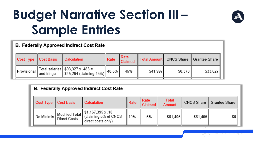#### **Budget Narrative Section III – Sample Entries**

#### **B. Federally Approved Indirect Cost Rate**

| Cost Type Cost Basis | Calculation                                                                 | $\parallel$ Rate | Rate<br>Claimed |          |         | Total Amount   CNCS Share    Grantee Share |
|----------------------|-----------------------------------------------------------------------------|------------------|-----------------|----------|---------|--------------------------------------------|
|                      | Provisional Total salaries \$93,327 x .485 = $\ \text{Provisional}\ $ 48.5% |                  | 45%             | \$41,997 | \$8,370 | $$33,627$                                  |

#### **B. Federally Approved Indirect Cost Rate**

| ∥ Cost Type ∥ Cost Basis | <b>Calculation</b>                                                                                                                                                                           | Rate | l Rate<br>Claimed II | Total<br>Amount |          | CNCS Share    Grantee Share |
|--------------------------|----------------------------------------------------------------------------------------------------------------------------------------------------------------------------------------------|------|----------------------|-----------------|----------|-----------------------------|
|                          | <sup>II</sup> De Minimis Modified Total $\left\  \frac{\$1,167,395 \times .10}{\$} \right\ $ (claiming 5% of CNCS $\left\  \frac{\$1,167,395 \times .10}{\$} \right\ $<br>direct costs only) | 10%  | 5%                   | \$61.405        | \$61.405 | \$0\$                       |

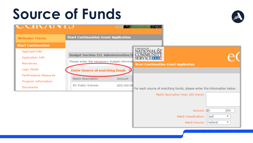### **Source of Funds**



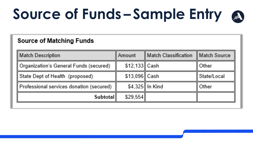# **Source of Funds – Sample Entry**

#### **Source of Matching Funds**

| <b>Match Description</b>                 | Amount         | Match Classification | Match Source |
|------------------------------------------|----------------|----------------------|--------------|
| Organization's General Funds (secured)   | \$12,133∥ Cash |                      | Other        |
| State Dept of Health (proposed)          | \$13,096∥ Cash |                      | State/Local  |
| Professional services donation (secured) |                | \$4,325 In Kind      | Other        |
| Subtotall                                | \$29,554       |                      |              |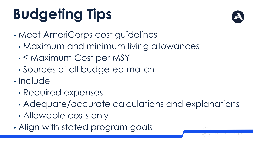# **Budgeting Tips**

- Meet AmeriCorps cost guidelines
	- Maximum and minimum living allowances
	- ≤ Maximum Cost per MSY
	- Sources of all budgeted match
- Include
	- Required expenses
	- Adequate/accurate calculations and explanations
	- Allowable costs only
- $\overline{\phantom{0}}$ • Align with stated program goals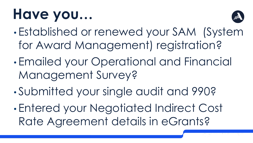## **Have you…**



- Established or renewed your SAM (System for Award Management) registration?
- Emailed your Operational and Financial Management Survey?
- Submitted your single audit and 990?
- Entered your Negotiated Indirect Cost Rate Agreement details in eGrants?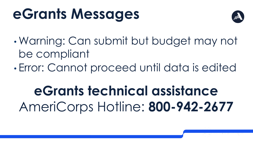## **eGrants Messages**



- Warning: Can submit but budget may not be compliant
- Error: Cannot proceed until data is edited

### **eGrants technical assistance** AmeriCorps Hotline: **800-942-2677**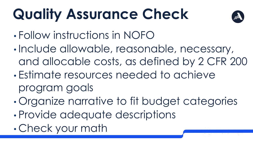# **Quality Assurance Check**



- Follow instructions in NOFO
- Include allowable, reasonable, necessary, and allocable costs, as defined by 2 CFR 200
- Estimate resources needed to achieve program goals
- Organize narrative to fit budget categories
- Provide adequate descriptions
- 21 Check your math